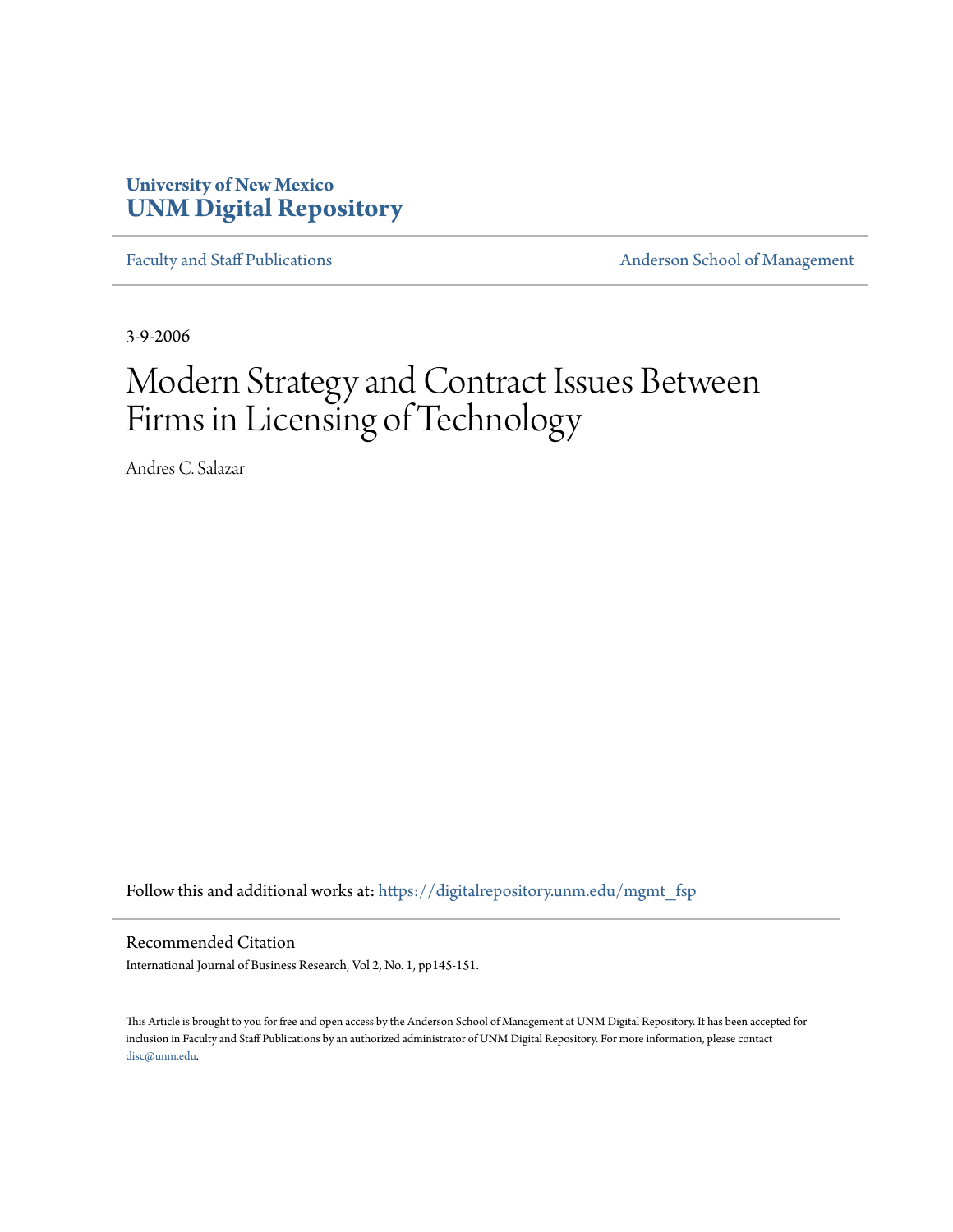# **University of New Mexico [UNM Digital Repository](https://digitalrepository.unm.edu?utm_source=digitalrepository.unm.edu%2Fmgmt_fsp%2F7&utm_medium=PDF&utm_campaign=PDFCoverPages)**

[Faculty and Staff Publications](https://digitalrepository.unm.edu/mgmt_fsp?utm_source=digitalrepository.unm.edu%2Fmgmt_fsp%2F7&utm_medium=PDF&utm_campaign=PDFCoverPages) **[Anderson School of Management](https://digitalrepository.unm.edu/mgmt?utm_source=digitalrepository.unm.edu%2Fmgmt_fsp%2F7&utm_medium=PDF&utm_campaign=PDFCoverPages)** 

3-9-2006

# Modern Strategy and Contract Issues Between Firms in Licensing of Technology

Andres C. Salazar

Follow this and additional works at: [https://digitalrepository.unm.edu/mgmt\\_fsp](https://digitalrepository.unm.edu/mgmt_fsp?utm_source=digitalrepository.unm.edu%2Fmgmt_fsp%2F7&utm_medium=PDF&utm_campaign=PDFCoverPages)

Recommended Citation

International Journal of Business Research, Vol 2, No. 1, pp145-151.

This Article is brought to you for free and open access by the Anderson School of Management at UNM Digital Repository. It has been accepted for inclusion in Faculty and Staff Publications by an authorized administrator of UNM Digital Repository. For more information, please contact [disc@unm.edu](mailto:disc@unm.edu).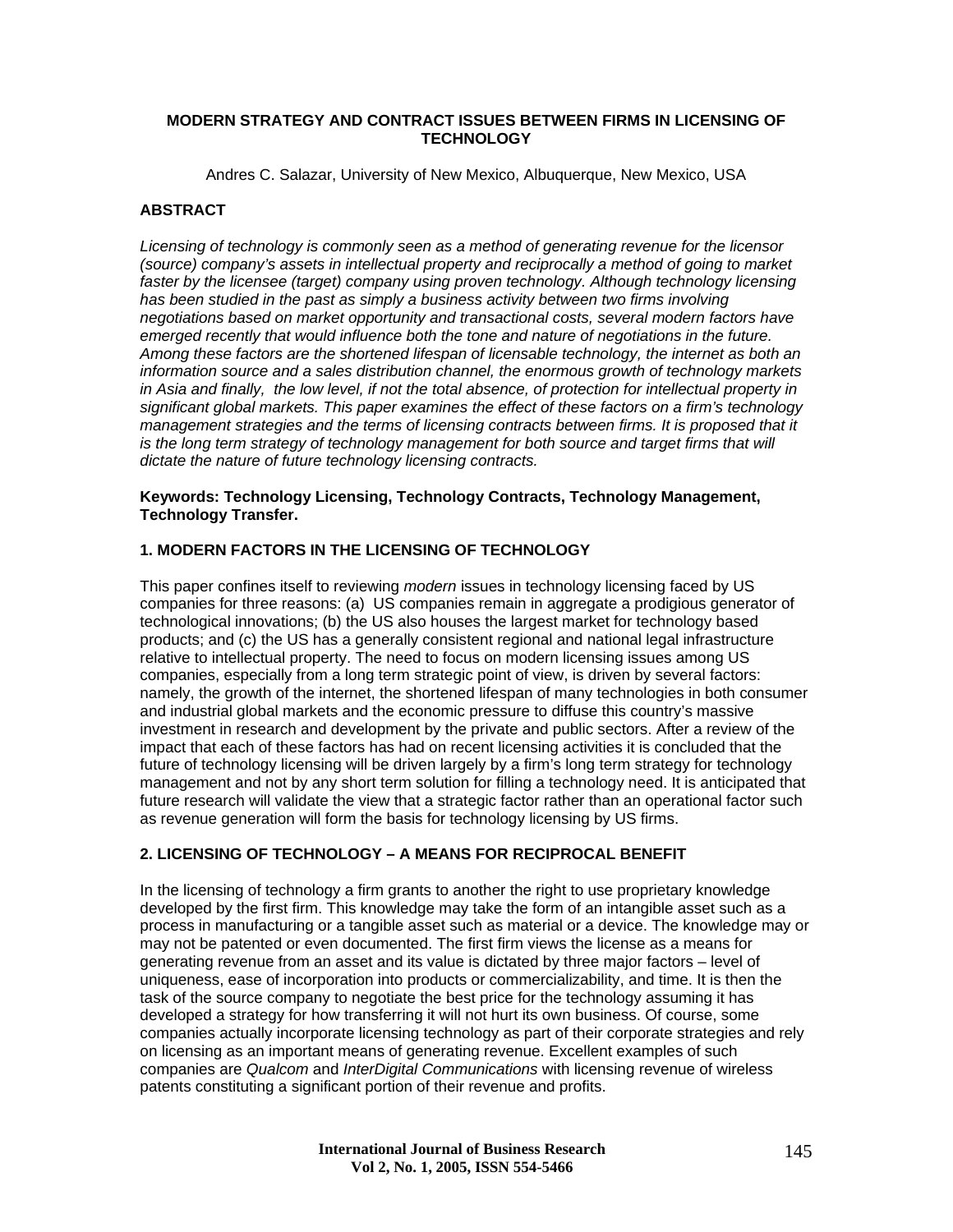#### **MODERN STRATEGY AND CONTRACT ISSUES BETWEEN FIRMS IN LICENSING OF TECHNOLOGY**

Andres C. Salazar, University of New Mexico, Albuquerque, New Mexico, USA

#### **ABSTRACT**

*Licensing of technology is commonly seen as a method of generating revenue for the licensor (source) company's assets in intellectual property and reciprocally a method of going to market faster by the licensee (target) company using proven technology. Although technology licensing has been studied in the past as simply a business activity between two firms involving negotiations based on market opportunity and transactional costs, several modern factors have emerged recently that would influence both the tone and nature of negotiations in the future. Among these factors are the shortened lifespan of licensable technology, the internet as both an information source and a sales distribution channel, the enormous growth of technology markets in Asia and finally, the low level, if not the total absence, of protection for intellectual property in significant global markets. This paper examines the effect of these factors on a firm's technology*  management strategies and the terms of licensing contracts between firms. It is proposed that it *is the long term strategy of technology management for both source and target firms that will dictate the nature of future technology licensing contracts.* 

#### **Keywords: Technology Licensing, Technology Contracts, Technology Management, Technology Transfer.**

#### **1. MODERN FACTORS IN THE LICENSING OF TECHNOLOGY**

This paper confines itself to reviewing *modern* issues in technology licensing faced by US companies for three reasons: (a) US companies remain in aggregate a prodigious generator of technological innovations; (b) the US also houses the largest market for technology based products; and (c) the US has a generally consistent regional and national legal infrastructure relative to intellectual property. The need to focus on modern licensing issues among US companies, especially from a long term strategic point of view, is driven by several factors: namely, the growth of the internet, the shortened lifespan of many technologies in both consumer and industrial global markets and the economic pressure to diffuse this country's massive investment in research and development by the private and public sectors. After a review of the impact that each of these factors has had on recent licensing activities it is concluded that the future of technology licensing will be driven largely by a firm's long term strategy for technology management and not by any short term solution for filling a technology need. It is anticipated that future research will validate the view that a strategic factor rather than an operational factor such as revenue generation will form the basis for technology licensing by US firms.

#### **2. LICENSING OF TECHNOLOGY – A MEANS FOR RECIPROCAL BENEFIT**

In the licensing of technology a firm grants to another the right to use proprietary knowledge developed by the first firm. This knowledge may take the form of an intangible asset such as a process in manufacturing or a tangible asset such as material or a device. The knowledge may or may not be patented or even documented. The first firm views the license as a means for generating revenue from an asset and its value is dictated by three major factors – level of uniqueness, ease of incorporation into products or commercializability, and time. It is then the task of the source company to negotiate the best price for the technology assuming it has developed a strategy for how transferring it will not hurt its own business. Of course, some companies actually incorporate licensing technology as part of their corporate strategies and rely on licensing as an important means of generating revenue. Excellent examples of such companies are *Qualcom* and *InterDigital Communications* with licensing revenue of wireless patents constituting a significant portion of their revenue and profits.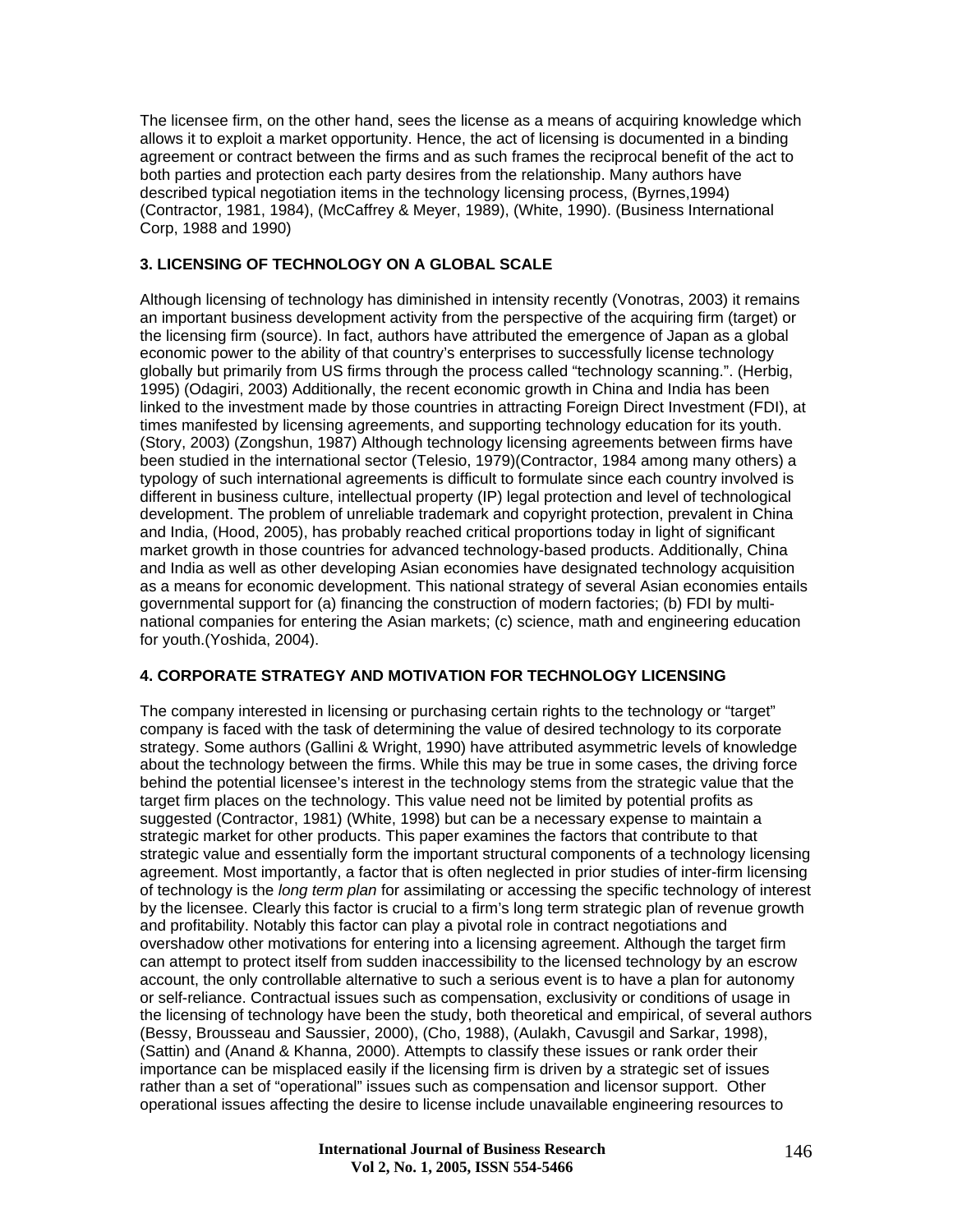The licensee firm, on the other hand, sees the license as a means of acquiring knowledge which allows it to exploit a market opportunity. Hence, the act of licensing is documented in a binding agreement or contract between the firms and as such frames the reciprocal benefit of the act to both parties and protection each party desires from the relationship. Many authors have described typical negotiation items in the technology licensing process, (Byrnes,1994) (Contractor, 1981, 1984), (McCaffrey & Meyer, 1989), (White, 1990). (Business International Corp, 1988 and 1990)

#### **3. LICENSING OF TECHNOLOGY ON A GLOBAL SCALE**

Although licensing of technology has diminished in intensity recently (Vonotras, 2003) it remains an important business development activity from the perspective of the acquiring firm (target) or the licensing firm (source). In fact, authors have attributed the emergence of Japan as a global economic power to the ability of that country's enterprises to successfully license technology globally but primarily from US firms through the process called "technology scanning.". (Herbig, 1995) (Odagiri, 2003) Additionally, the recent economic growth in China and India has been linked to the investment made by those countries in attracting Foreign Direct Investment (FDI), at times manifested by licensing agreements, and supporting technology education for its youth. (Story, 2003) (Zongshun, 1987) Although technology licensing agreements between firms have been studied in the international sector (Telesio, 1979)(Contractor, 1984 among many others) a typology of such international agreements is difficult to formulate since each country involved is different in business culture, intellectual property (IP) legal protection and level of technological development. The problem of unreliable trademark and copyright protection, prevalent in China and India, (Hood, 2005), has probably reached critical proportions today in light of significant market growth in those countries for advanced technology-based products. Additionally, China and India as well as other developing Asian economies have designated technology acquisition as a means for economic development. This national strategy of several Asian economies entails governmental support for (a) financing the construction of modern factories; (b) FDI by multinational companies for entering the Asian markets; (c) science, math and engineering education for youth.(Yoshida, 2004).

# **4. CORPORATE STRATEGY AND MOTIVATION FOR TECHNOLOGY LICENSING**

The company interested in licensing or purchasing certain rights to the technology or "target" company is faced with the task of determining the value of desired technology to its corporate strategy. Some authors (Gallini & Wright, 1990) have attributed asymmetric levels of knowledge about the technology between the firms. While this may be true in some cases, the driving force behind the potential licensee's interest in the technology stems from the strategic value that the target firm places on the technology. This value need not be limited by potential profits as suggested (Contractor, 1981) (White, 1998) but can be a necessary expense to maintain a strategic market for other products. This paper examines the factors that contribute to that strategic value and essentially form the important structural components of a technology licensing agreement. Most importantly, a factor that is often neglected in prior studies of inter-firm licensing of technology is the *long term plan* for assimilating or accessing the specific technology of interest by the licensee. Clearly this factor is crucial to a firm's long term strategic plan of revenue growth and profitability. Notably this factor can play a pivotal role in contract negotiations and overshadow other motivations for entering into a licensing agreement. Although the target firm can attempt to protect itself from sudden inaccessibility to the licensed technology by an escrow account, the only controllable alternative to such a serious event is to have a plan for autonomy or self-reliance. Contractual issues such as compensation, exclusivity or conditions of usage in the licensing of technology have been the study, both theoretical and empirical, of several authors (Bessy, Brousseau and Saussier, 2000), (Cho, 1988), (Aulakh, Cavusgil and Sarkar, 1998), (Sattin) and (Anand & Khanna, 2000). Attempts to classify these issues or rank order their importance can be misplaced easily if the licensing firm is driven by a strategic set of issues rather than a set of "operational" issues such as compensation and licensor support. Other operational issues affecting the desire to license include unavailable engineering resources to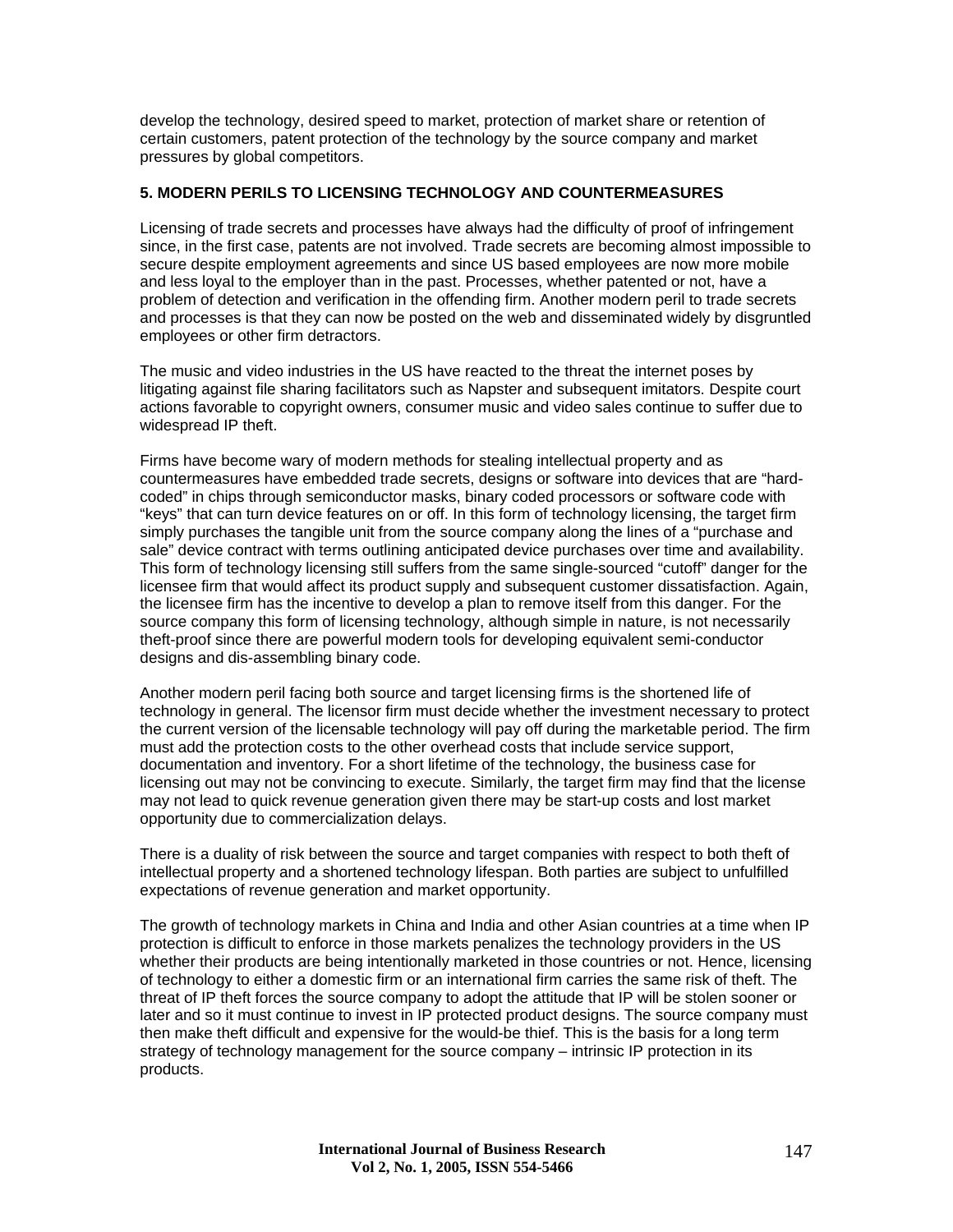develop the technology, desired speed to market, protection of market share or retention of certain customers, patent protection of the technology by the source company and market pressures by global competitors.

# **5. MODERN PERILS TO LICENSING TECHNOLOGY AND COUNTERMEASURES**

Licensing of trade secrets and processes have always had the difficulty of proof of infringement since, in the first case, patents are not involved. Trade secrets are becoming almost impossible to secure despite employment agreements and since US based employees are now more mobile and less loyal to the employer than in the past. Processes, whether patented or not, have a problem of detection and verification in the offending firm. Another modern peril to trade secrets and processes is that they can now be posted on the web and disseminated widely by disgruntled employees or other firm detractors.

The music and video industries in the US have reacted to the threat the internet poses by litigating against file sharing facilitators such as Napster and subsequent imitators. Despite court actions favorable to copyright owners, consumer music and video sales continue to suffer due to widespread IP theft.

Firms have become wary of modern methods for stealing intellectual property and as countermeasures have embedded trade secrets, designs or software into devices that are "hardcoded" in chips through semiconductor masks, binary coded processors or software code with "keys" that can turn device features on or off. In this form of technology licensing, the target firm simply purchases the tangible unit from the source company along the lines of a "purchase and sale" device contract with terms outlining anticipated device purchases over time and availability. This form of technology licensing still suffers from the same single-sourced "cutoff" danger for the licensee firm that would affect its product supply and subsequent customer dissatisfaction. Again, the licensee firm has the incentive to develop a plan to remove itself from this danger. For the source company this form of licensing technology, although simple in nature, is not necessarily theft-proof since there are powerful modern tools for developing equivalent semi-conductor designs and dis-assembling binary code.

Another modern peril facing both source and target licensing firms is the shortened life of technology in general. The licensor firm must decide whether the investment necessary to protect the current version of the licensable technology will pay off during the marketable period. The firm must add the protection costs to the other overhead costs that include service support, documentation and inventory. For a short lifetime of the technology, the business case for licensing out may not be convincing to execute. Similarly, the target firm may find that the license may not lead to quick revenue generation given there may be start-up costs and lost market opportunity due to commercialization delays.

There is a duality of risk between the source and target companies with respect to both theft of intellectual property and a shortened technology lifespan. Both parties are subject to unfulfilled expectations of revenue generation and market opportunity.

The growth of technology markets in China and India and other Asian countries at a time when IP protection is difficult to enforce in those markets penalizes the technology providers in the US whether their products are being intentionally marketed in those countries or not. Hence, licensing of technology to either a domestic firm or an international firm carries the same risk of theft. The threat of IP theft forces the source company to adopt the attitude that IP will be stolen sooner or later and so it must continue to invest in IP protected product designs. The source company must then make theft difficult and expensive for the would-be thief. This is the basis for a long term strategy of technology management for the source company – intrinsic IP protection in its products.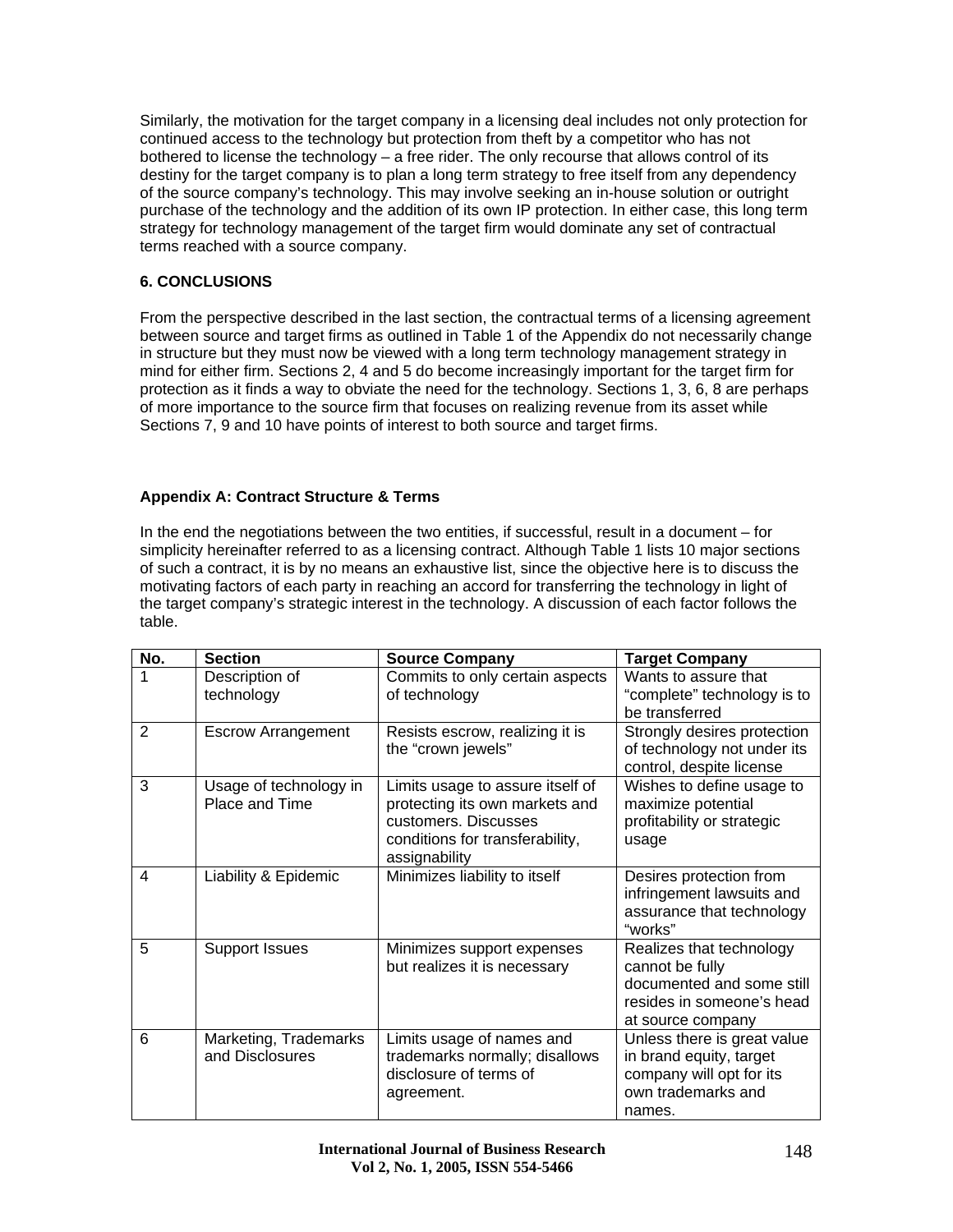Similarly, the motivation for the target company in a licensing deal includes not only protection for continued access to the technology but protection from theft by a competitor who has not bothered to license the technology – a free rider. The only recourse that allows control of its destiny for the target company is to plan a long term strategy to free itself from any dependency of the source company's technology. This may involve seeking an in-house solution or outright purchase of the technology and the addition of its own IP protection. In either case, this long term strategy for technology management of the target firm would dominate any set of contractual terms reached with a source company.

# **6. CONCLUSIONS**

From the perspective described in the last section, the contractual terms of a licensing agreement between source and target firms as outlined in Table 1 of the Appendix do not necessarily change in structure but they must now be viewed with a long term technology management strategy in mind for either firm. Sections 2, 4 and 5 do become increasingly important for the target firm for protection as it finds a way to obviate the need for the technology. Sections 1, 3, 6, 8 are perhaps of more importance to the source firm that focuses on realizing revenue from its asset while Sections 7, 9 and 10 have points of interest to both source and target firms.

# **Appendix A: Contract Structure & Terms**

In the end the negotiations between the two entities, if successful, result in a document – for simplicity hereinafter referred to as a licensing contract. Although Table 1 lists 10 major sections of such a contract, it is by no means an exhaustive list, since the objective here is to discuss the motivating factors of each party in reaching an accord for transferring the technology in light of the target company's strategic interest in the technology. A discussion of each factor follows the table.

| No.            | <b>Section</b>                           | <b>Source Company</b>                                                                                                                          | <b>Target Company</b>                                                                                                      |
|----------------|------------------------------------------|------------------------------------------------------------------------------------------------------------------------------------------------|----------------------------------------------------------------------------------------------------------------------------|
| 1              | Description of<br>technology             | Commits to only certain aspects<br>of technology                                                                                               | Wants to assure that<br>"complete" technology is to<br>be transferred                                                      |
| $\overline{2}$ | <b>Escrow Arrangement</b>                | Resists escrow, realizing it is<br>the "crown jewels"                                                                                          | Strongly desires protection<br>of technology not under its<br>control, despite license                                     |
| 3              | Usage of technology in<br>Place and Time | Limits usage to assure itself of<br>protecting its own markets and<br>customers. Discusses<br>conditions for transferability,<br>assignability | Wishes to define usage to<br>maximize potential<br>profitability or strategic<br>usage                                     |
| 4              | Liability & Epidemic                     | Minimizes liability to itself                                                                                                                  | Desires protection from<br>infringement lawsuits and<br>assurance that technology<br>"works"                               |
| 5              | <b>Support Issues</b>                    | Minimizes support expenses<br>but realizes it is necessary                                                                                     | Realizes that technology<br>cannot be fully<br>documented and some still<br>resides in someone's head<br>at source company |
| 6              | Marketing, Trademarks<br>and Disclosures | Limits usage of names and<br>trademarks normally; disallows<br>disclosure of terms of<br>agreement.                                            | Unless there is great value<br>in brand equity, target<br>company will opt for its<br>own trademarks and<br>names.         |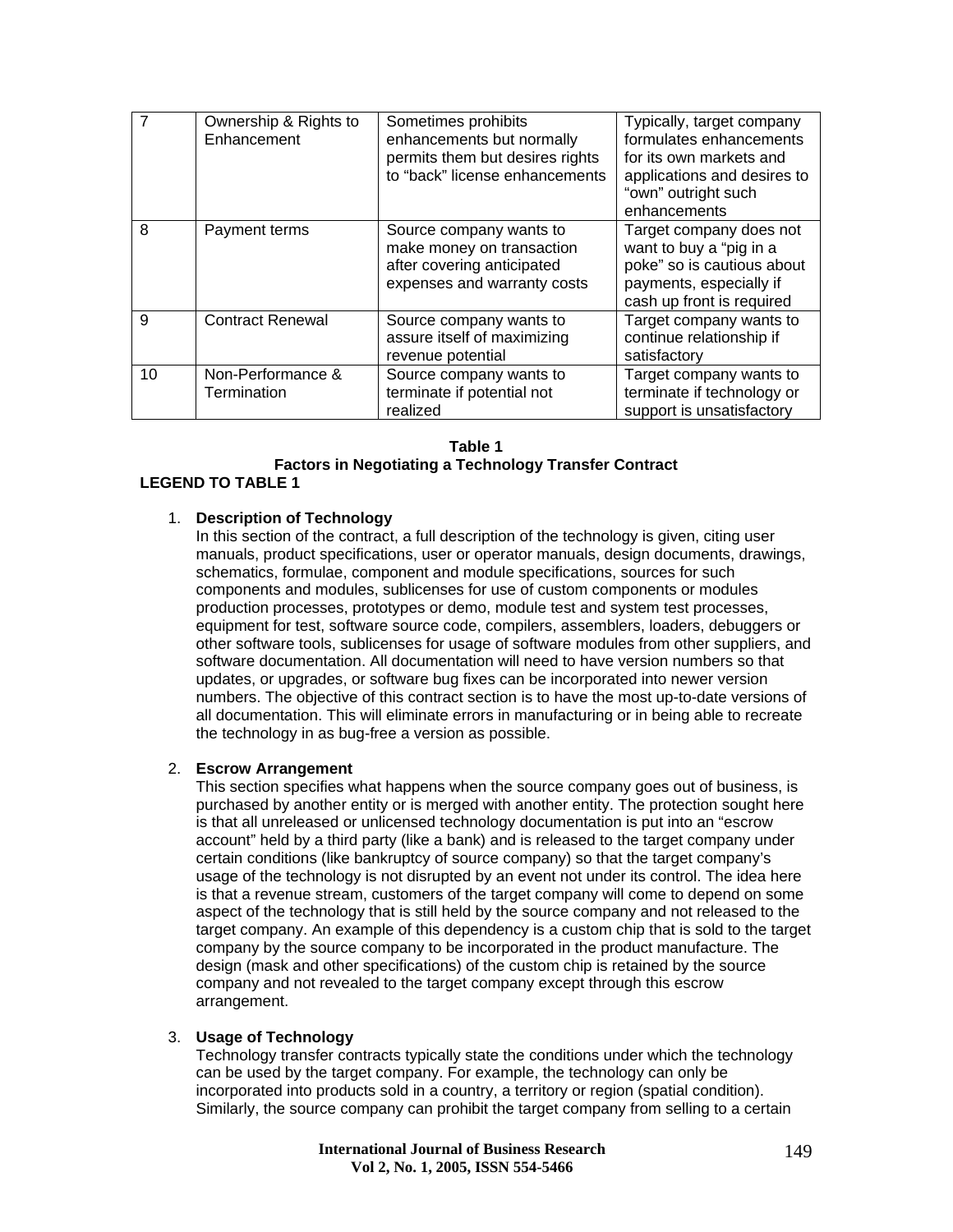|    | Ownership & Rights to<br>Enhancement | Sometimes prohibits<br>enhancements but normally<br>permits them but desires rights<br>to "back" license enhancements | Typically, target company<br>formulates enhancements<br>for its own markets and<br>applications and desires to<br>"own" outright such<br>enhancements |
|----|--------------------------------------|-----------------------------------------------------------------------------------------------------------------------|-------------------------------------------------------------------------------------------------------------------------------------------------------|
| 8  | Payment terms                        | Source company wants to<br>make money on transaction<br>after covering anticipated<br>expenses and warranty costs     | Target company does not<br>want to buy a "pig in a<br>poke" so is cautious about<br>payments, especially if<br>cash up front is required              |
| 9  | <b>Contract Renewal</b>              | Source company wants to<br>assure itself of maximizing<br>revenue potential                                           | Target company wants to<br>continue relationship if<br>satisfactory                                                                                   |
| 10 | Non-Performance &<br>Termination     | Source company wants to<br>terminate if potential not<br>realized                                                     | Target company wants to<br>terminate if technology or<br>support is unsatisfactory                                                                    |

#### **Table 1**

#### **Factors in Negotiating a Technology Transfer Contract LEGEND TO TABLE 1**

# 1. **Description of Technology**

In this section of the contract, a full description of the technology is given, citing user manuals, product specifications, user or operator manuals, design documents, drawings, schematics, formulae, component and module specifications, sources for such components and modules, sublicenses for use of custom components or modules production processes, prototypes or demo, module test and system test processes, equipment for test, software source code, compilers, assemblers, loaders, debuggers or other software tools, sublicenses for usage of software modules from other suppliers, and software documentation. All documentation will need to have version numbers so that updates, or upgrades, or software bug fixes can be incorporated into newer version numbers. The objective of this contract section is to have the most up-to-date versions of all documentation. This will eliminate errors in manufacturing or in being able to recreate the technology in as bug-free a version as possible.

### 2. **Escrow Arrangement**

This section specifies what happens when the source company goes out of business, is purchased by another entity or is merged with another entity. The protection sought here is that all unreleased or unlicensed technology documentation is put into an "escrow account" held by a third party (like a bank) and is released to the target company under certain conditions (like bankruptcy of source company) so that the target company's usage of the technology is not disrupted by an event not under its control. The idea here is that a revenue stream, customers of the target company will come to depend on some aspect of the technology that is still held by the source company and not released to the target company. An example of this dependency is a custom chip that is sold to the target company by the source company to be incorporated in the product manufacture. The design (mask and other specifications) of the custom chip is retained by the source company and not revealed to the target company except through this escrow arrangement.

#### 3. **Usage of Technology**

Technology transfer contracts typically state the conditions under which the technology can be used by the target company. For example, the technology can only be incorporated into products sold in a country, a territory or region (spatial condition). Similarly, the source company can prohibit the target company from selling to a certain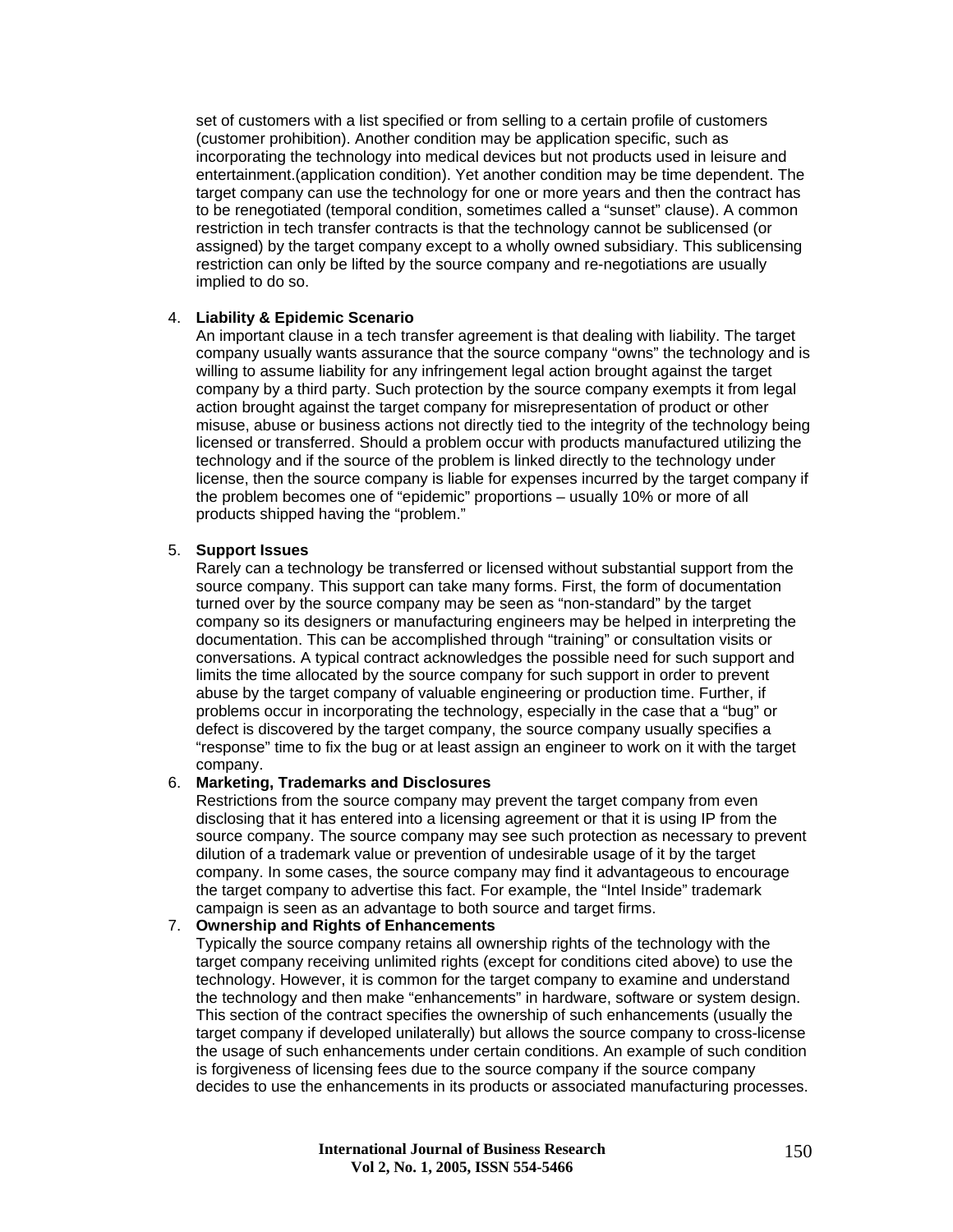set of customers with a list specified or from selling to a certain profile of customers (customer prohibition). Another condition may be application specific, such as incorporating the technology into medical devices but not products used in leisure and entertainment.(application condition). Yet another condition may be time dependent. The target company can use the technology for one or more years and then the contract has to be renegotiated (temporal condition, sometimes called a "sunset" clause). A common restriction in tech transfer contracts is that the technology cannot be sublicensed (or assigned) by the target company except to a wholly owned subsidiary. This sublicensing restriction can only be lifted by the source company and re-negotiations are usually implied to do so.

#### 4. **Liability & Epidemic Scenario**

An important clause in a tech transfer agreement is that dealing with liability. The target company usually wants assurance that the source company "owns" the technology and is willing to assume liability for any infringement legal action brought against the target company by a third party. Such protection by the source company exempts it from legal action brought against the target company for misrepresentation of product or other misuse, abuse or business actions not directly tied to the integrity of the technology being licensed or transferred. Should a problem occur with products manufactured utilizing the technology and if the source of the problem is linked directly to the technology under license, then the source company is liable for expenses incurred by the target company if the problem becomes one of "epidemic" proportions – usually 10% or more of all products shipped having the "problem."

#### 5. **Support Issues**

Rarely can a technology be transferred or licensed without substantial support from the source company. This support can take many forms. First, the form of documentation turned over by the source company may be seen as "non-standard" by the target company so its designers or manufacturing engineers may be helped in interpreting the documentation. This can be accomplished through "training" or consultation visits or conversations. A typical contract acknowledges the possible need for such support and limits the time allocated by the source company for such support in order to prevent abuse by the target company of valuable engineering or production time. Further, if problems occur in incorporating the technology, especially in the case that a "bug" or defect is discovered by the target company, the source company usually specifies a "response" time to fix the bug or at least assign an engineer to work on it with the target company.

#### 6. **Marketing, Trademarks and Disclosures**

Restrictions from the source company may prevent the target company from even disclosing that it has entered into a licensing agreement or that it is using IP from the source company. The source company may see such protection as necessary to prevent dilution of a trademark value or prevention of undesirable usage of it by the target company. In some cases, the source company may find it advantageous to encourage the target company to advertise this fact. For example, the "Intel Inside" trademark campaign is seen as an advantage to both source and target firms.

#### 7. **Ownership and Rights of Enhancements**

Typically the source company retains all ownership rights of the technology with the target company receiving unlimited rights (except for conditions cited above) to use the technology. However, it is common for the target company to examine and understand the technology and then make "enhancements" in hardware, software or system design. This section of the contract specifies the ownership of such enhancements (usually the target company if developed unilaterally) but allows the source company to cross-license the usage of such enhancements under certain conditions. An example of such condition is forgiveness of licensing fees due to the source company if the source company decides to use the enhancements in its products or associated manufacturing processes.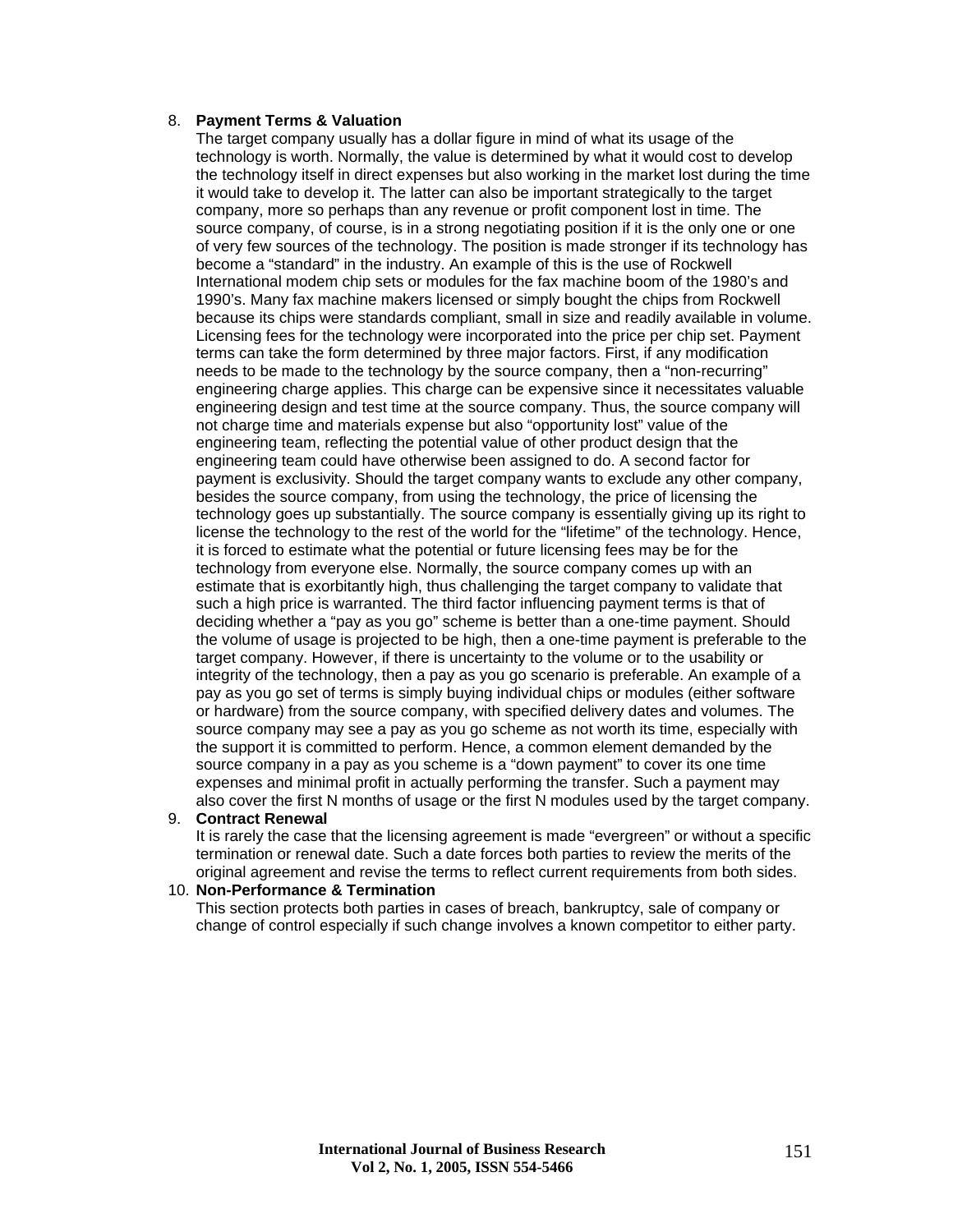#### 8. **Payment Terms & Valuation**

The target company usually has a dollar figure in mind of what its usage of the technology is worth. Normally, the value is determined by what it would cost to develop the technology itself in direct expenses but also working in the market lost during the time it would take to develop it. The latter can also be important strategically to the target company, more so perhaps than any revenue or profit component lost in time. The source company, of course, is in a strong negotiating position if it is the only one or one of very few sources of the technology. The position is made stronger if its technology has become a "standard" in the industry. An example of this is the use of Rockwell International modem chip sets or modules for the fax machine boom of the 1980's and 1990's. Many fax machine makers licensed or simply bought the chips from Rockwell because its chips were standards compliant, small in size and readily available in volume. Licensing fees for the technology were incorporated into the price per chip set. Payment terms can take the form determined by three major factors. First, if any modification needs to be made to the technology by the source company, then a "non-recurring" engineering charge applies. This charge can be expensive since it necessitates valuable engineering design and test time at the source company. Thus, the source company will not charge time and materials expense but also "opportunity lost" value of the engineering team, reflecting the potential value of other product design that the engineering team could have otherwise been assigned to do. A second factor for payment is exclusivity. Should the target company wants to exclude any other company, besides the source company, from using the technology, the price of licensing the technology goes up substantially. The source company is essentially giving up its right to license the technology to the rest of the world for the "lifetime" of the technology. Hence, it is forced to estimate what the potential or future licensing fees may be for the technology from everyone else. Normally, the source company comes up with an estimate that is exorbitantly high, thus challenging the target company to validate that such a high price is warranted. The third factor influencing payment terms is that of deciding whether a "pay as you go" scheme is better than a one-time payment. Should the volume of usage is projected to be high, then a one-time payment is preferable to the target company. However, if there is uncertainty to the volume or to the usability or integrity of the technology, then a pay as you go scenario is preferable. An example of a pay as you go set of terms is simply buying individual chips or modules (either software or hardware) from the source company, with specified delivery dates and volumes. The source company may see a pay as you go scheme as not worth its time, especially with the support it is committed to perform. Hence, a common element demanded by the source company in a pay as you scheme is a "down payment" to cover its one time expenses and minimal profit in actually performing the transfer. Such a payment may also cover the first N months of usage or the first N modules used by the target company.

#### 9. **Contract Renewal**

It is rarely the case that the licensing agreement is made "evergreen" or without a specific termination or renewal date. Such a date forces both parties to review the merits of the original agreement and revise the terms to reflect current requirements from both sides.

#### 10. **Non-Performance & Termination**

This section protects both parties in cases of breach, bankruptcy, sale of company or change of control especially if such change involves a known competitor to either party.